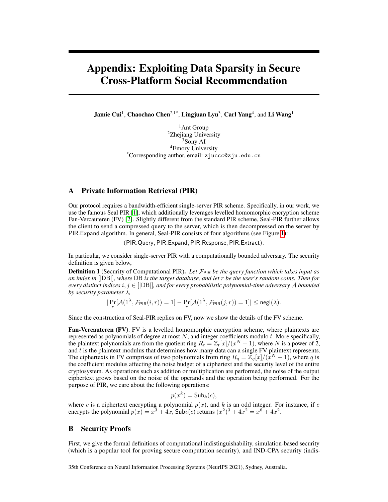# Appendix: Exploiting Data Sparsity in Secure Cross-Platform Social Recommendation

Jamie Cui<sup>1</sup>, Chaochao Chen<sup>2,1\*</sup>, Lingjuan Lyu<sup>3</sup>, Carl Yang<sup>4</sup>, and Li Wang<sup>1</sup>

<sup>1</sup>Ant Group <sup>2</sup>Zhejiang University <sup>3</sup>Sony AI <sup>4</sup>Emory University \*Corresponding author, email: zjuccc@zju.edu.cn

### A Private Information Retrieval (PIR)

Our protocol requires a bandwidth-efficient single-server PIR scheme. Specifically, in our work, we use the famous Seal PIR [\[1\]](#page-3-0), which additionally leverages levelled homomorphic encryption scheme Fan-Vercauteren (FV) [\[2\]](#page-3-1). Slightly different from the standard PIR scheme, Seal-PIR further allows the client to send a compressed query to the server, which is then decompressed on the server by PIR.Expand algorithm. In general, Seal-PIR consists of four algorithms (see Figure [1\)](#page-1-0):

(PIR.Query, PIR.Expand, PIR.Response, PIR.Extract).

In particular, we consider single-server PIR with a computationally bounded adversary. The security definition is given below,

**Definition 1** (Security of Computational PIR). Let  $\mathcal{F}_{PIR}$  be the query function which takes input as *an index in* [|DB|]*, where* DB *is the target database, and let* r *be the user's random coins. Then for every distinct indices*  $i, j \in [|\text{DB}|]$ *, and for every probabilistic polynomial-time adversary* A *bounded by security parameter* λ*,*

$$
|\Pr_r[\mathcal{A}(1^{\lambda}, \mathcal{F}_{\text{PIR}}(i,r)) = 1] - \Pr_r[\mathcal{A}(1^{\lambda}, \mathcal{F}_{\text{PIR}}(j,r)) = 1]| \leq {\rm negl}(\lambda).
$$

Since the construction of Seal-PIR replies on FV, now we show the details of the FV scheme.

Fan-Vercauteren (FV). FV is a levelled homomorphic encryption scheme, where plaintexts are represented as polynomials of degree at most  $N$ , and integer coefficients modulo  $t$ . More specifically, the plaintext polynomials are from the quotient ring  $R_t = \mathbb{Z}_t[x]/(x^N + 1)$ , where N is a power of 2, and  $\dot{t}$  is the plaintext modulus that determines how many data can a single FV plaintext represents. The ciphertexts in FV comprises of two polynomials from ring  $R_q = \mathbb{Z}_q[x]/(x^N + 1)$ , where q is the coefficient modulus affecting the noise budget of a ciphertext and the security level of the entire cryptosystem. As operations such as addition or multiplication are performed, the noise of the output ciphertext grows based on the noise of the operands and the operation being performed. For the purpose of PIR, we care about the following operations:

$$
p(x^k) = \mathsf{Sub}_k(c),
$$

where c is a ciphertext encrypting a polynomial  $p(x)$ , and k is an odd integer. For instance, if c encrypts the polynomial  $p(x) = x^3 + 4x$ ,  $\textsf{Sub}_2(c)$  returns  $(x^2)^3 + 4x^2 = x^6 + 4x^2$ .

## B Security Proofs

First, we give the formal definitions of computational indistinguishability, simulation-based security (which is a popular tool for proving secure computation security), and IND-CPA security (indis-

35th Conference on Neural Information Processing Systems (NeurIPS 2021), Sydney, Australia.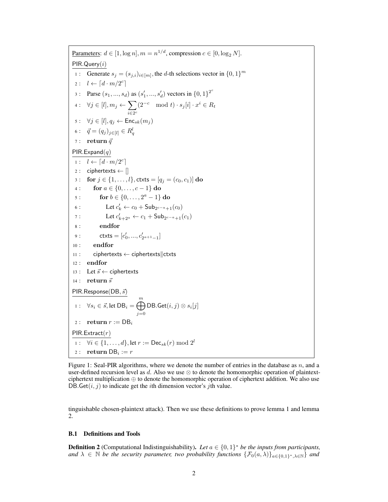<span id="page-1-0"></span>Parameters:  $d \in [1, \log n], m = n^{1/d}$ , compression  $c \in [0, \log_2 N]$ . PIR.Query(i) 1 : Generate  $s_j = (s_{j,i})_{i \in [m]}$ , the d-th selections vector in  $\{0,1\}^m$  $2: l \leftarrow [d \cdot m/2^c]$ 3 : Parse  $(s_1, ..., s_d)$  as  $(s'_1, ..., s'_d)$  vectors in  $\{0, 1\}^{2^c}$ 4 :  $\forall j \in [l], m_j \leftarrow \sum$  $\sum_{i\in 2^c} (2^{-c} \mod t) \cdot s_j[i] \cdot x^i \in R_t$ 5 :  $\forall j \in [l], q_j \leftarrow \text{Enc}_{sk}(m_j)$ 6 :  $\vec{q} = (q_j)_{j \in [l]} \in R_q^l$ 7 : return  $\vec{q}$  $PIR.Expand(q)$  $1: \quad l \leftarrow \lceil d \cdot m/2^c \rceil$  $2:$  ciphertexts  $\leftarrow$  [] 3 : **for**  $j \in \{1, ..., l\}$ , ctxts =  $[q_j = (c_0, c_1)]$  do 4 : for  $a \in \{0, \ldots, c-1\}$  do 5 : for  $b \in \{0, \ldots, 2^a - 1\}$  do 6 : Let  $c'_k \leftarrow c_0 + \mathsf{Sub}_{2^{c-a}+1}(c_0)$ 7 : Let  $c'_{k+2^a} \leftarrow c_1 + \mathsf{Sub}_{2^{c-a}+1}(c_1)$ 8 : endfor 9 : ctxts =  $[c'_0, ..., c'_{2^{a+1}-1}]$ <sup>10</sup> : endfor  $11$  : ciphertexts ← ciphertexts ctxts <sup>12</sup> : endfor 13 : Let  $\vec{s}$  ← ciphertexts 14 : return  $\vec{s}$  $PIR.$ Response $(DB, \vec{s})$ 1 :  $\forall s_i \in \vec{s}$ , let  $DB_i = \bigoplus^m$  $j=0$ DB.Get $(i, j) \otimes s_i[j]$ 2 : return  $r := DB_i$  $PIR.Extract(r)$  $\overline{u}$  :  $\forall i \in \{1, \ldots, d\}, \text{let } r := \text{Dec}_{sk}(r) \text{ mod } 2^l$ 2:  $\operatorname{return} \mathsf{DB}_i := r$ 

Figure 1: Seal-PIR algorithms, where we denote the number of entries in the database as n, and a user-defined recursion level as d. Also we use  $\otimes$  to denote the homomorphic operation of plaintextciphertext multiplication ⊕ to denote the homomorphic operation of ciphertext addition. We also use DB. Get $(i, j)$  to indicate get the *i*th dimension vector's *j*th value.

tinguishable chosen-plaintext attack). Then we use these definitions to prove lemma 1 and lemma 2.

#### B.1 Definitions and Tools

**Definition 2** (Computational Indistinguishability). Let  $a \in \{0,1\}^*$  be the inputs from participants, *and*  $\lambda \in \mathbb{N}$  *be the security parameter, two probability functions*  $\{\mathcal{F}_0(a, \lambda)\}_{a \in \{0,1\}^*, \lambda \in \mathbb{N}}\}$  *and*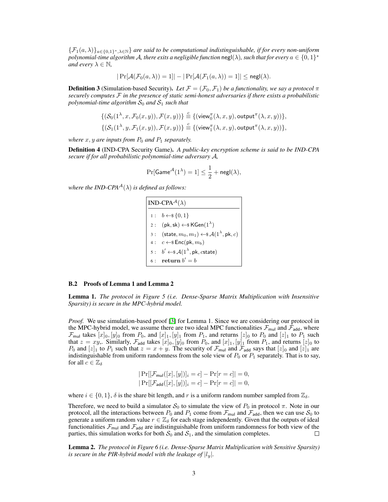{F1(a, λ)}a∈{0,1}∗,λ∈<sup>N</sup>} *are said to be computational indistinguishable, if for every non-uniform* polynomial-time algorithm A, there exits a negligible function  ${\sf negl}(\lambda)$ , such that for every  $a\in\{0,1\}^*$ *and every*  $\lambda \in \mathbb{N}$ ,

$$
|\Pr[\mathcal{A}(\mathcal{F}_0(a,\lambda))=1]| - |\Pr[\mathcal{A}(\mathcal{F}_1(a,\lambda))=1]| \leq {\sf negl}(\lambda).
$$

**Definition 3** (Simulation-based Security). Let  $\mathcal{F} = (\mathcal{F}_0, \mathcal{F}_1)$  be a functionality, we say a protocol  $\pi$ *securely computes* F *in the presence of static semi-honest adversaries if there exists a probabilistic polynomial-time algorithm*  $S_0$  *and*  $S_1$  *such that* 

$$
\begin{aligned} &\{(\mathcal{S}_0(1^\lambda,x,\mathcal{F}_0(x,y)),\mathcal{F}(x,y))\} \stackrel{c}{\equiv} \{(\mathsf{view}^\pi_0(\lambda,x,y),\mathsf{output}^\pi(\lambda,x,y))\},\\ &\{(\mathcal{S}_1(1^\lambda,y,\mathcal{F}_1(x,y)),\mathcal{F}(x,y))\} \stackrel{c}{\equiv} \{(\mathsf{view}^\pi_1(\lambda,x,y),\mathsf{output}^\pi(\lambda,x,y))\}, \end{aligned}
$$

*where*  $x, y$  *are inputs from*  $P_0$  *and*  $P_1$  *separately.* 

Definition 4 (IND-CPA Security Game). *A public-key encryption scheme is said to be IND-CPA secure if for all probabilistic polynomial-time adversary* A*,*

$$
\Pr[\mathsf{Game}^{\mathcal{A}}(1^\lambda)=1]\leq \frac{1}{2}+\mathsf{negl}(\lambda),
$$

*where the IND-CPA*<sup> $A(\lambda)$ </sup> *is defined as follows:* 

IND-CPA $^{\mathcal{A}}(\lambda)$  $1: b \leftarrow \$ \{0,1\}$ 2 :  $(\mathsf{pk}, \mathsf{sk}) \leftarrow \mathsf{\$KGen}(1^\lambda)$  $\beta:\;\;\;(\textsf{state},m_0,m_1)\leftarrow \!\!\!\!\!*\; \mathcal{A}(1^{\lambda},\textsf{pk},c)$ 4 :  $c \leftarrow \$ \mathsf{Enc}(\mathsf{pk}, m_b)$ 5 :  $b' \leftarrow \$ \mathcal{A}(1^{\lambda}, \text{pk}, c \text{state})$ 6 :  $\operatorname{return} b' = b$ 

#### B.2 Proofs of Lemma 1 and Lemma 2

Lemma 1. *The protocol in Figure 5 (i.e. Dense-Sparse Matrix Multiplication with Insensitive Sparsity) is secure in the MPC-hybrid model.*

*Proof.* We use simulation-based proof [\[3\]](#page-3-2) for Lemma 1. Since we are considering our protocol in the MPC-hybrid model, we assume there are two ideal MPC functionalities  $\mathcal{F}_{mul}$  and  $\mathcal{F}_{add}$ , where  $\mathcal{F}_{\mathsf{mul}}$  takes  $[x]_0, [y]_0$  from  $P_0$ , and  $[x]_1, [y]_1$  from  $P_1$ , and returns  $[z]_0$  to  $P_0$  and  $[z]_1$  to  $P_1$  such that  $z = xy$ ,. Similarly,  $\mathcal{F}_{\sf add}$  takes  $[x]_0, [y]_0$  from  $P_0$ , and  $[x]_1, [y]_1$  from  $P_1$ , and returns  $[z]_0$  to  $P_0$  and  $[z]_1$  to  $P_1$  such that  $z = x + y$ . The security of  $\mathcal{F}_{\text{mul}}$  and  $\mathcal{F}_{\text{add}}$  says that  $[z]_0$  and  $[z]_1$  are indistinguishable from uniform randomness from the sole view of  $P_0$  or  $P_1$  separately. That is to say, for all  $c \in \mathbb{Z}_{\delta}$ 

$$
|\Pr[[\mathcal{F}_{\text{mul}}([x], [y])]_i = c] - \Pr[r = c]| = 0,
$$
  
\n $|\Pr[[\mathcal{F}_{\text{add}}([x], [y])]_i = c] - \Pr[r = c]| = 0,$ 

where  $i \in \{0, 1\}$ ,  $\delta$  is the share bit length, and r is a uniform random number sampled from  $\mathbb{Z}_{\delta}$ .

Therefore, we need to build a simulator  $S_0$  to simulate the view of  $P_0$  in protocol  $\pi$ . Note in our protocol, all the interactions between  $P_0$  and  $P_1$  come from  $\mathcal{F}_{\text{mul}}$  and  $\mathcal{F}_{\text{add}}$ , then we can use  $\mathcal{S}_0$  to generate a uniform random value  $r \in \mathbb{Z}_{\delta}$  for each stage independently. Given that the outputs of ideal functionalities  $\mathcal{F}_{\text{mul}}$  and  $\mathcal{F}_{\text{add}}$  are indistinguishable from uniform randomness for both view of the parties, this simulation works for both  $S_0$  and  $S_1$ , and the simulation completes.  $\Box$ 

Lemma 2. *The protocol in Figure 6 (i.e. Dense-Sparse Matrix Multiplication with Sensitive Sparsity) is secure in the PIR-hybrid model with the leakage of*  $|l_y|$ *.*